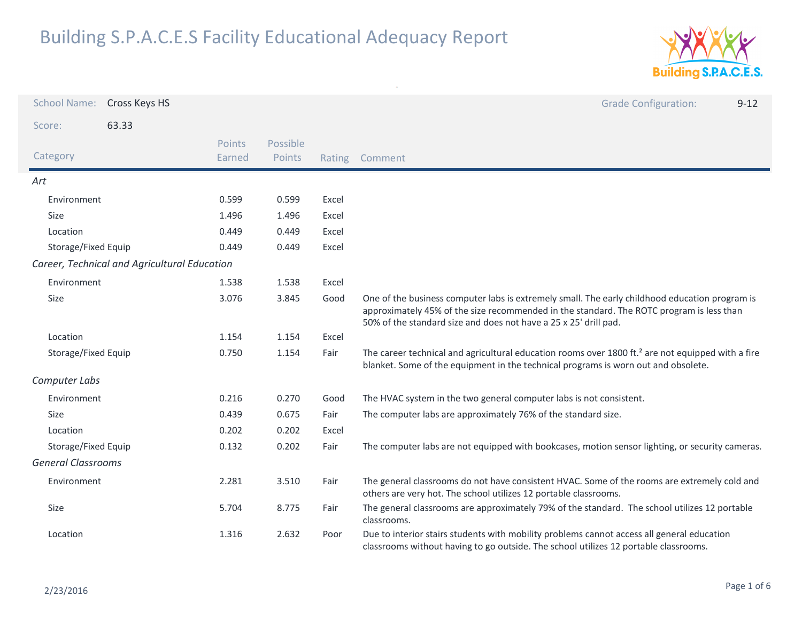

| <b>School Name:</b>       | Cross Keys HS                                |                  |                           |       | <b>Grade Configuration:</b><br>$9 - 12$                                                                                                                                                                                                                        |
|---------------------------|----------------------------------------------|------------------|---------------------------|-------|----------------------------------------------------------------------------------------------------------------------------------------------------------------------------------------------------------------------------------------------------------------|
| Score:                    | 63.33                                        |                  |                           |       |                                                                                                                                                                                                                                                                |
| Category                  |                                              | Points<br>Earned | Possible<br><b>Points</b> |       | Rating Comment                                                                                                                                                                                                                                                 |
| Art                       |                                              |                  |                           |       |                                                                                                                                                                                                                                                                |
| Environment               |                                              | 0.599            | 0.599                     | Excel |                                                                                                                                                                                                                                                                |
| Size                      |                                              | 1.496            | 1.496                     | Excel |                                                                                                                                                                                                                                                                |
| Location                  |                                              | 0.449            | 0.449                     | Excel |                                                                                                                                                                                                                                                                |
| Storage/Fixed Equip       |                                              | 0.449            | 0.449                     | Excel |                                                                                                                                                                                                                                                                |
|                           | Career, Technical and Agricultural Education |                  |                           |       |                                                                                                                                                                                                                                                                |
| Environment               |                                              | 1.538            | 1.538                     | Excel |                                                                                                                                                                                                                                                                |
| Size                      |                                              | 3.076            | 3.845                     | Good  | One of the business computer labs is extremely small. The early childhood education program is<br>approximately 45% of the size recommended in the standard. The ROTC program is less than<br>50% of the standard size and does not have a 25 x 25' drill pad. |
| Location                  |                                              | 1.154            | 1.154                     | Excel |                                                                                                                                                                                                                                                                |
| Storage/Fixed Equip       |                                              | 0.750            | 1.154                     | Fair  | The career technical and agricultural education rooms over 1800 ft. <sup>2</sup> are not equipped with a fire<br>blanket. Some of the equipment in the technical programs is worn out and obsolete.                                                            |
| Computer Labs             |                                              |                  |                           |       |                                                                                                                                                                                                                                                                |
| Environment               |                                              | 0.216            | 0.270                     | Good  | The HVAC system in the two general computer labs is not consistent.                                                                                                                                                                                            |
| <b>Size</b>               |                                              | 0.439            | 0.675                     | Fair  | The computer labs are approximately 76% of the standard size.                                                                                                                                                                                                  |
| Location                  |                                              | 0.202            | 0.202                     | Excel |                                                                                                                                                                                                                                                                |
| Storage/Fixed Equip       |                                              | 0.132            | 0.202                     | Fair  | The computer labs are not equipped with bookcases, motion sensor lighting, or security cameras.                                                                                                                                                                |
| <b>General Classrooms</b> |                                              |                  |                           |       |                                                                                                                                                                                                                                                                |
| Environment               |                                              | 2.281            | 3.510                     | Fair  | The general classrooms do not have consistent HVAC. Some of the rooms are extremely cold and<br>others are very hot. The school utilizes 12 portable classrooms.                                                                                               |
| <b>Size</b>               |                                              | 5.704            | 8.775                     | Fair  | The general classrooms are approximately 79% of the standard. The school utilizes 12 portable<br>classrooms.                                                                                                                                                   |
| Location                  |                                              | 1.316            | 2.632                     | Poor  | Due to interior stairs students with mobility problems cannot access all general education<br>classrooms without having to go outside. The school utilizes 12 portable classrooms.                                                                             |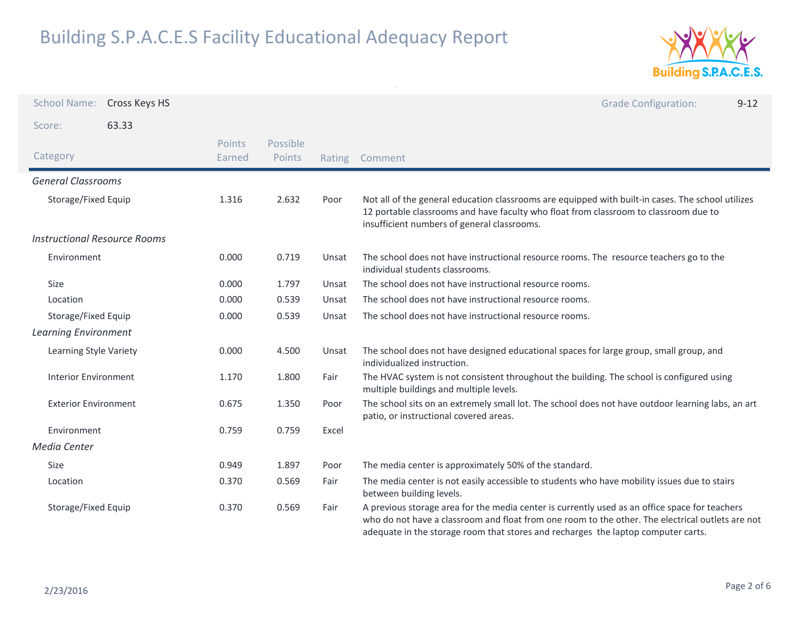

| <b>School Name:</b>                 | Cross Keys HS |                  |                    |        | <b>Grade Configuration:</b><br>$9 - 12$                                                                                                                                                                                                                                                 |
|-------------------------------------|---------------|------------------|--------------------|--------|-----------------------------------------------------------------------------------------------------------------------------------------------------------------------------------------------------------------------------------------------------------------------------------------|
| Score:                              | 63.33         |                  |                    |        |                                                                                                                                                                                                                                                                                         |
| Category                            |               | Points<br>Earned | Possible<br>Points | Rating | Comment                                                                                                                                                                                                                                                                                 |
| <b>General Classrooms</b>           |               |                  |                    |        |                                                                                                                                                                                                                                                                                         |
| Storage/Fixed Equip                 |               | 1.316            | 2.632              | Poor   | Not all of the general education classrooms are equipped with built-in cases. The school utilizes<br>12 portable classrooms and have faculty who float from classroom to classroom due to<br>insufficient numbers of general classrooms.                                                |
| <b>Instructional Resource Rooms</b> |               |                  |                    |        |                                                                                                                                                                                                                                                                                         |
| Environment                         |               | 0.000            | 0.719              | Unsat  | The school does not have instructional resource rooms. The resource teachers go to the<br>individual students classrooms.                                                                                                                                                               |
| Size                                |               | 0.000            | 1.797              | Unsat  | The school does not have instructional resource rooms.                                                                                                                                                                                                                                  |
| Location                            |               | 0.000            | 0.539              | Unsat  | The school does not have instructional resource rooms.                                                                                                                                                                                                                                  |
| Storage/Fixed Equip                 |               | 0.000            | 0.539              | Unsat  | The school does not have instructional resource rooms.                                                                                                                                                                                                                                  |
| <b>Learning Environment</b>         |               |                  |                    |        |                                                                                                                                                                                                                                                                                         |
| Learning Style Variety              |               | 0.000            | 4.500              | Unsat  | The school does not have designed educational spaces for large group, small group, and<br>individualized instruction.                                                                                                                                                                   |
| <b>Interior Environment</b>         |               | 1.170            | 1.800              | Fair   | The HVAC system is not consistent throughout the building. The school is configured using<br>multiple buildings and multiple levels.                                                                                                                                                    |
| <b>Exterior Environment</b>         |               | 0.675            | 1.350              | Poor   | The school sits on an extremely small lot. The school does not have outdoor learning labs, an art<br>patio, or instructional covered areas.                                                                                                                                             |
| Environment                         |               | 0.759            | 0.759              | Excel  |                                                                                                                                                                                                                                                                                         |
| <b>Media Center</b>                 |               |                  |                    |        |                                                                                                                                                                                                                                                                                         |
| Size                                |               | 0.949            | 1.897              | Poor   | The media center is approximately 50% of the standard.                                                                                                                                                                                                                                  |
| Location                            |               | 0.370            | 0.569              | Fair   | The media center is not easily accessible to students who have mobility issues due to stairs<br>between building levels.                                                                                                                                                                |
| Storage/Fixed Equip                 |               | 0.370            | 0.569              | Fair   | A previous storage area for the media center is currently used as an office space for teachers<br>who do not have a classroom and float from one room to the other. The electrical outlets are not<br>adequate in the storage room that stores and recharges the laptop computer carts. |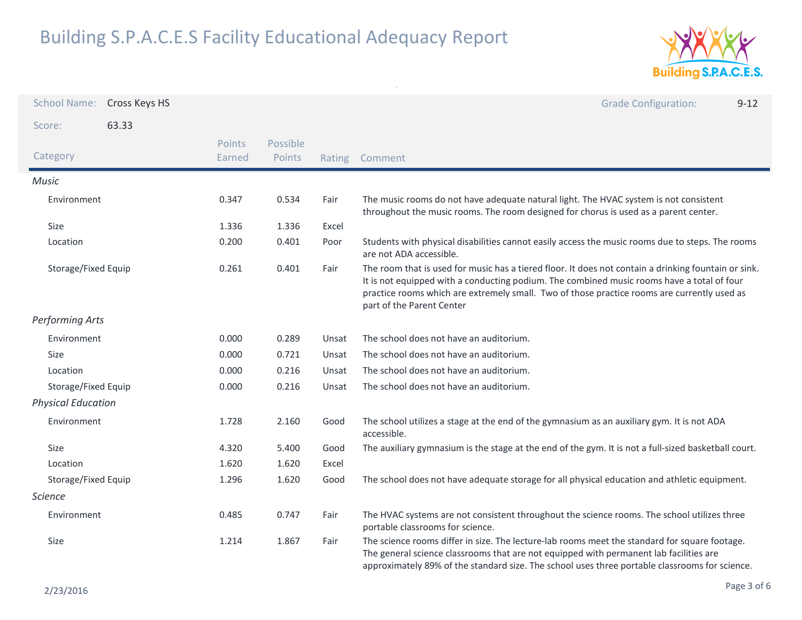

| <b>School Name:</b>       | Cross Keys HS |                  |                    |        | <b>Grade Configuration:</b><br>$9 - 12$                                                                                                                                                                                                                                                                                        |
|---------------------------|---------------|------------------|--------------------|--------|--------------------------------------------------------------------------------------------------------------------------------------------------------------------------------------------------------------------------------------------------------------------------------------------------------------------------------|
| Score:                    | 63.33         |                  |                    |        |                                                                                                                                                                                                                                                                                                                                |
| Category                  |               | Points<br>Earned | Possible<br>Points | Rating | Comment                                                                                                                                                                                                                                                                                                                        |
| <b>Music</b>              |               |                  |                    |        |                                                                                                                                                                                                                                                                                                                                |
| Environment               |               | 0.347            | 0.534              | Fair   | The music rooms do not have adequate natural light. The HVAC system is not consistent<br>throughout the music rooms. The room designed for chorus is used as a parent center.                                                                                                                                                  |
| Size                      |               | 1.336            | 1.336              | Excel  |                                                                                                                                                                                                                                                                                                                                |
| Location                  |               | 0.200            | 0.401              | Poor   | Students with physical disabilities cannot easily access the music rooms due to steps. The rooms<br>are not ADA accessible.                                                                                                                                                                                                    |
| Storage/Fixed Equip       |               | 0.261            | 0.401              | Fair   | The room that is used for music has a tiered floor. It does not contain a drinking fountain or sink.<br>It is not equipped with a conducting podium. The combined music rooms have a total of four<br>practice rooms which are extremely small. Two of those practice rooms are currently used as<br>part of the Parent Center |
| <b>Performing Arts</b>    |               |                  |                    |        |                                                                                                                                                                                                                                                                                                                                |
| Environment               |               | 0.000            | 0.289              | Unsat  | The school does not have an auditorium.                                                                                                                                                                                                                                                                                        |
| Size                      |               | 0.000            | 0.721              | Unsat  | The school does not have an auditorium.                                                                                                                                                                                                                                                                                        |
| Location                  |               | 0.000            | 0.216              | Unsat  | The school does not have an auditorium.                                                                                                                                                                                                                                                                                        |
| Storage/Fixed Equip       |               | 0.000            | 0.216              | Unsat  | The school does not have an auditorium.                                                                                                                                                                                                                                                                                        |
| <b>Physical Education</b> |               |                  |                    |        |                                                                                                                                                                                                                                                                                                                                |
| Environment               |               | 1.728            | 2.160              | Good   | The school utilizes a stage at the end of the gymnasium as an auxiliary gym. It is not ADA<br>accessible.                                                                                                                                                                                                                      |
| Size                      |               | 4.320            | 5.400              | Good   | The auxiliary gymnasium is the stage at the end of the gym. It is not a full-sized basketball court.                                                                                                                                                                                                                           |
| Location                  |               | 1.620            | 1.620              | Excel  |                                                                                                                                                                                                                                                                                                                                |
| Storage/Fixed Equip       |               | 1.296            | 1.620              | Good   | The school does not have adequate storage for all physical education and athletic equipment.                                                                                                                                                                                                                                   |
| <b>Science</b>            |               |                  |                    |        |                                                                                                                                                                                                                                                                                                                                |
| Environment               |               | 0.485            | 0.747              | Fair   | The HVAC systems are not consistent throughout the science rooms. The school utilizes three<br>portable classrooms for science.                                                                                                                                                                                                |
| Size                      |               | 1.214            | 1.867              | Fair   | The science rooms differ in size. The lecture-lab rooms meet the standard for square footage.<br>The general science classrooms that are not equipped with permanent lab facilities are<br>approximately 89% of the standard size. The school uses three portable classrooms for science.                                      |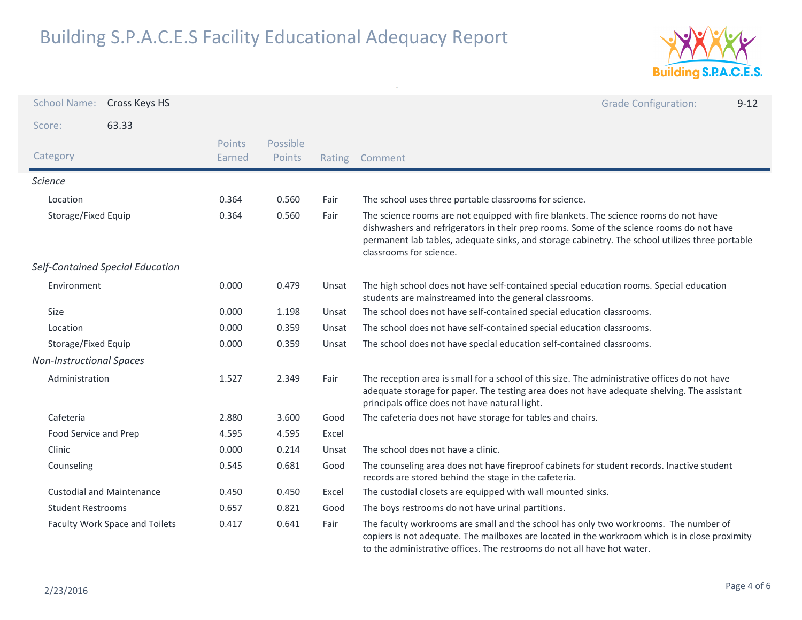

| <b>School Name:</b>             | Cross Keys HS                    |                  |                    |        | <b>Grade Configuration:</b><br>$9 - 12$                                                                                                                                                                                                                                                                        |
|---------------------------------|----------------------------------|------------------|--------------------|--------|----------------------------------------------------------------------------------------------------------------------------------------------------------------------------------------------------------------------------------------------------------------------------------------------------------------|
| Score:                          | 63.33                            |                  |                    |        |                                                                                                                                                                                                                                                                                                                |
| Category                        |                                  | Points<br>Earned | Possible<br>Points | Rating | Comment                                                                                                                                                                                                                                                                                                        |
| <b>Science</b>                  |                                  |                  |                    |        |                                                                                                                                                                                                                                                                                                                |
| Location                        |                                  | 0.364            | 0.560              | Fair   | The school uses three portable classrooms for science.                                                                                                                                                                                                                                                         |
| Storage/Fixed Equip             |                                  | 0.364            | 0.560              | Fair   | The science rooms are not equipped with fire blankets. The science rooms do not have<br>dishwashers and refrigerators in their prep rooms. Some of the science rooms do not have<br>permanent lab tables, adequate sinks, and storage cabinetry. The school utilizes three portable<br>classrooms for science. |
|                                 | Self-Contained Special Education |                  |                    |        |                                                                                                                                                                                                                                                                                                                |
| Environment                     |                                  | 0.000            | 0.479              | Unsat  | The high school does not have self-contained special education rooms. Special education<br>students are mainstreamed into the general classrooms.                                                                                                                                                              |
| Size                            |                                  | 0.000            | 1.198              | Unsat  | The school does not have self-contained special education classrooms.                                                                                                                                                                                                                                          |
| Location                        |                                  | 0.000            | 0.359              | Unsat  | The school does not have self-contained special education classrooms.                                                                                                                                                                                                                                          |
| Storage/Fixed Equip             |                                  | 0.000            | 0.359              | Unsat  | The school does not have special education self-contained classrooms.                                                                                                                                                                                                                                          |
| <b>Non-Instructional Spaces</b> |                                  |                  |                    |        |                                                                                                                                                                                                                                                                                                                |
| Administration                  |                                  | 1.527            | 2.349              | Fair   | The reception area is small for a school of this size. The administrative offices do not have<br>adequate storage for paper. The testing area does not have adequate shelving. The assistant<br>principals office does not have natural light.                                                                 |
| Cafeteria                       |                                  | 2.880            | 3.600              | Good   | The cafeteria does not have storage for tables and chairs.                                                                                                                                                                                                                                                     |
| Food Service and Prep           |                                  | 4.595            | 4.595              | Excel  |                                                                                                                                                                                                                                                                                                                |
| Clinic                          |                                  | 0.000            | 0.214              | Unsat  | The school does not have a clinic.                                                                                                                                                                                                                                                                             |
| Counseling                      |                                  | 0.545            | 0.681              | Good   | The counseling area does not have fireproof cabinets for student records. Inactive student<br>records are stored behind the stage in the cafeteria.                                                                                                                                                            |
|                                 | <b>Custodial and Maintenance</b> | 0.450            | 0.450              | Excel  | The custodial closets are equipped with wall mounted sinks.                                                                                                                                                                                                                                                    |
| <b>Student Restrooms</b>        |                                  | 0.657            | 0.821              | Good   | The boys restrooms do not have urinal partitions.                                                                                                                                                                                                                                                              |
|                                 | Faculty Work Space and Toilets   | 0.417            | 0.641              | Fair   | The faculty workrooms are small and the school has only two workrooms. The number of<br>copiers is not adequate. The mailboxes are located in the workroom which is in close proximity<br>to the administrative offices. The restrooms do not all have hot water.                                              |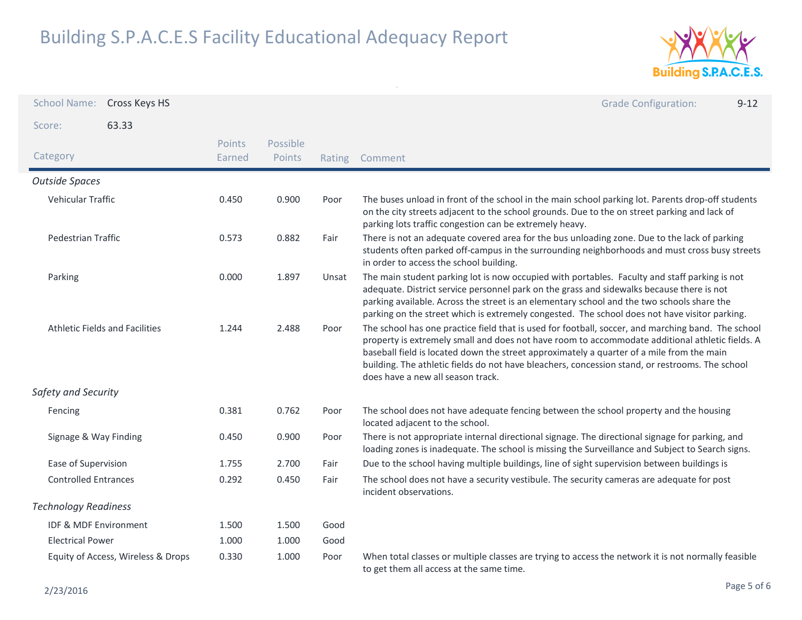

| <b>School Name:</b>                   | Cross Keys HS |                  |                    |       | <b>Grade Configuration:</b><br>$9 - 12$                                                                                                                                                                                                                                                                                                                                                                                                    |
|---------------------------------------|---------------|------------------|--------------------|-------|--------------------------------------------------------------------------------------------------------------------------------------------------------------------------------------------------------------------------------------------------------------------------------------------------------------------------------------------------------------------------------------------------------------------------------------------|
| Score:                                | 63.33         |                  |                    |       |                                                                                                                                                                                                                                                                                                                                                                                                                                            |
| Category                              |               | Points<br>Earned | Possible<br>Points |       | Rating Comment                                                                                                                                                                                                                                                                                                                                                                                                                             |
| <b>Outside Spaces</b>                 |               |                  |                    |       |                                                                                                                                                                                                                                                                                                                                                                                                                                            |
| Vehicular Traffic                     |               | 0.450            | 0.900              | Poor  | The buses unload in front of the school in the main school parking lot. Parents drop-off students<br>on the city streets adjacent to the school grounds. Due to the on street parking and lack of<br>parking lots traffic congestion can be extremely heavy.                                                                                                                                                                               |
| Pedestrian Traffic                    |               | 0.573            | 0.882              | Fair  | There is not an adequate covered area for the bus unloading zone. Due to the lack of parking<br>students often parked off-campus in the surrounding neighborhoods and must cross busy streets<br>in order to access the school building.                                                                                                                                                                                                   |
| Parking                               |               | 0.000            | 1.897              | Unsat | The main student parking lot is now occupied with portables. Faculty and staff parking is not<br>adequate. District service personnel park on the grass and sidewalks because there is not<br>parking available. Across the street is an elementary school and the two schools share the<br>parking on the street which is extremely congested. The school does not have visitor parking.                                                  |
| <b>Athletic Fields and Facilities</b> |               | 1.244            | 2.488              | Poor  | The school has one practice field that is used for football, soccer, and marching band. The school<br>property is extremely small and does not have room to accommodate additional athletic fields. A<br>baseball field is located down the street approximately a quarter of a mile from the main<br>building. The athletic fields do not have bleachers, concession stand, or restrooms. The school<br>does have a new all season track. |
| Safety and Security                   |               |                  |                    |       |                                                                                                                                                                                                                                                                                                                                                                                                                                            |
| Fencing                               |               | 0.381            | 0.762              | Poor  | The school does not have adequate fencing between the school property and the housing<br>located adjacent to the school.                                                                                                                                                                                                                                                                                                                   |
| Signage & Way Finding                 |               | 0.450            | 0.900              | Poor  | There is not appropriate internal directional signage. The directional signage for parking, and<br>loading zones is inadequate. The school is missing the Surveillance and Subject to Search signs.                                                                                                                                                                                                                                        |
| Ease of Supervision                   |               | 1.755            | 2.700              | Fair  | Due to the school having multiple buildings, line of sight supervision between buildings is                                                                                                                                                                                                                                                                                                                                                |
| <b>Controlled Entrances</b>           |               | 0.292            | 0.450              | Fair  | The school does not have a security vestibule. The security cameras are adequate for post<br>incident observations.                                                                                                                                                                                                                                                                                                                        |
| <b>Technology Readiness</b>           |               |                  |                    |       |                                                                                                                                                                                                                                                                                                                                                                                                                                            |
| <b>IDF &amp; MDF Environment</b>      |               | 1.500            | 1.500              | Good  |                                                                                                                                                                                                                                                                                                                                                                                                                                            |
| <b>Electrical Power</b>               |               | 1.000            | 1.000              | Good  |                                                                                                                                                                                                                                                                                                                                                                                                                                            |
| Equity of Access, Wireless & Drops    |               | 0.330            | 1.000              | Poor  | When total classes or multiple classes are trying to access the network it is not normally feasible<br>to get them all access at the same time.                                                                                                                                                                                                                                                                                            |